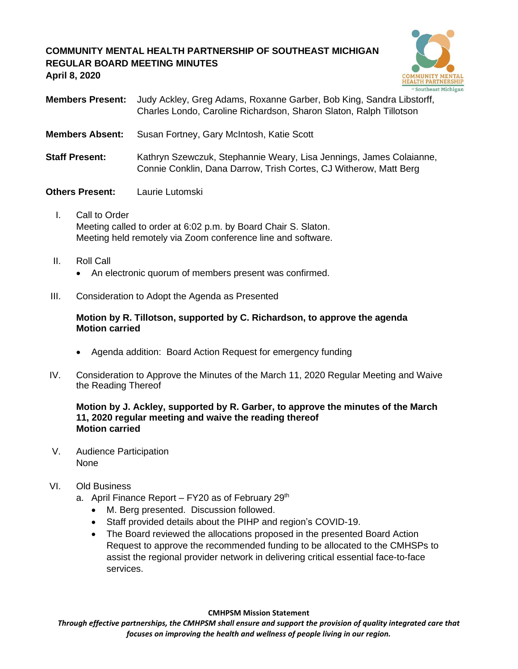# **COMMUNITY MENTAL HEALTH PARTNERSHIP OF SOUTHEAST MICHIGAN REGULAR BOARD MEETING MINUTES April 8, 2020**



- **Members Present:** Judy Ackley, Greg Adams, Roxanne Garber, Bob King, Sandra Libstorff, Charles Londo, Caroline Richardson, Sharon Slaton, Ralph Tillotson
- **Members Absent:** Susan Fortney, Gary McIntosh, Katie Scott
- **Staff Present:** Kathryn Szewczuk, Stephannie Weary, Lisa Jennings, James Colaianne, Connie Conklin, Dana Darrow, Trish Cortes, CJ Witherow, Matt Berg

# **Others Present:** Laurie Lutomski

- I. Call to Order Meeting called to order at 6:02 p.m. by Board Chair S. Slaton. Meeting held remotely via Zoom conference line and software.
- II. Roll Call
	- An electronic quorum of members present was confirmed.
- III. Consideration to Adopt the Agenda as Presented

## **Motion by R. Tillotson, supported by C. Richardson, to approve the agenda Motion carried**

- Agenda addition: Board Action Request for emergency funding
- IV. Consideration to Approve the Minutes of the March 11, 2020 Regular Meeting and Waive the Reading Thereof

### **Motion by J. Ackley, supported by R. Garber, to approve the minutes of the March 11, 2020 regular meeting and waive the reading thereof Motion carried**

V. Audience Participation None

### VI. Old Business

- a. April Finance Report FY20 as of February  $29<sup>th</sup>$ 
	- M. Berg presented. Discussion followed.
	- Staff provided details about the PIHP and region's COVID-19.
	- The Board reviewed the allocations proposed in the presented Board Action Request to approve the recommended funding to be allocated to the CMHSPs to assist the regional provider network in delivering critical essential face-to-face services.

### **CMHPSM Mission Statement**

*Through effective partnerships, the CMHPSM shall ensure and support the provision of quality integrated care that focuses on improving the health and wellness of people living in our region.*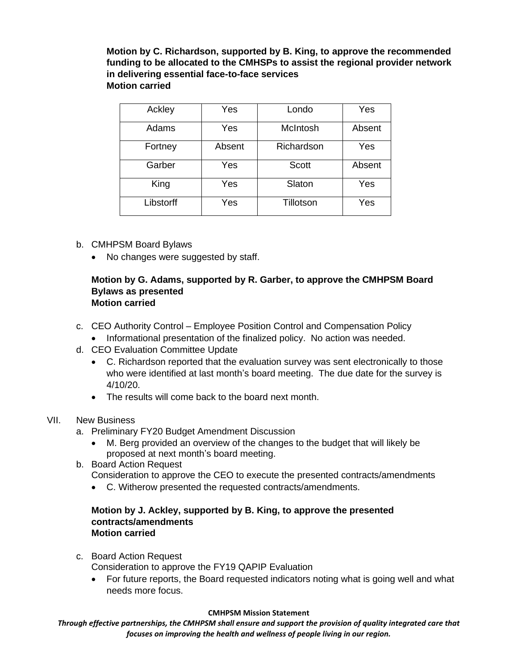**Motion by C. Richardson, supported by B. King, to approve the recommended funding to be allocated to the CMHSPs to assist the regional provider network in delivering essential face-to-face services Motion carried**

| Ackley    | Yes    | Londo        | Yes    |
|-----------|--------|--------------|--------|
| Adams     | Yes    | McIntosh     | Absent |
| Fortney   | Absent | Richardson   | Yes    |
| Garber    | Yes    | <b>Scott</b> | Absent |
| King      | Yes    | Slaton       | Yes    |
| Libstorff | Yes    | Tillotson    | Yes    |

- b. CMHPSM Board Bylaws
	- No changes were suggested by staff.

### **Motion by G. Adams, supported by R. Garber, to approve the CMHPSM Board Bylaws as presented Motion carried**

- c. CEO Authority Control Employee Position Control and Compensation Policy
	- Informational presentation of the finalized policy. No action was needed.
- d. CEO Evaluation Committee Update
	- C. Richardson reported that the evaluation survey was sent electronically to those who were identified at last month's board meeting. The due date for the survey is 4/10/20.
	- The results will come back to the board next month.
- VII. New Business
	- a. Preliminary FY20 Budget Amendment Discussion
		- M. Berg provided an overview of the changes to the budget that will likely be proposed at next month's board meeting.
	- b. Board Action Request

Consideration to approve the CEO to execute the presented contracts/amendments

• C. Witherow presented the requested contracts/amendments.

### **Motion by J. Ackley, supported by B. King, to approve the presented contracts/amendments Motion carried**

c. Board Action Request

Consideration to approve the FY19 QAPIP Evaluation

• For future reports, the Board requested indicators noting what is going well and what needs more focus.

### **CMHPSM Mission Statement**

*Through effective partnerships, the CMHPSM shall ensure and support the provision of quality integrated care that focuses on improving the health and wellness of people living in our region.*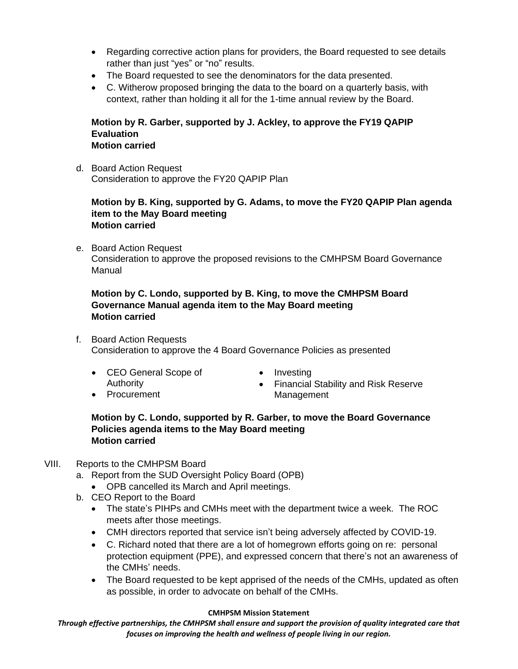- Regarding corrective action plans for providers, the Board requested to see details rather than just "yes" or "no" results.
- The Board requested to see the denominators for the data presented.
- C. Witherow proposed bringing the data to the board on a quarterly basis, with context, rather than holding it all for the 1-time annual review by the Board.

### **Motion by R. Garber, supported by J. Ackley, to approve the FY19 QAPIP Evaluation Motion carried**

d. Board Action Request Consideration to approve the FY20 QAPIP Plan

## **Motion by B. King, supported by G. Adams, to move the FY20 QAPIP Plan agenda item to the May Board meeting Motion carried**

e. Board Action Request Consideration to approve the proposed revisions to the CMHPSM Board Governance Manual

# **Motion by C. Londo, supported by B. King, to move the CMHPSM Board Governance Manual agenda item to the May Board meeting Motion carried**

f. Board Action Requests Consideration to approve the 4 Board Governance Policies as presented

- CEO General Scope of Authority
- Procurement
- Investing
- Financial Stability and Risk Reserve Management

# **Motion by C. Londo, supported by R. Garber, to move the Board Governance Policies agenda items to the May Board meeting Motion carried**

# VIII. Reports to the CMHPSM Board

- a. Report from the SUD Oversight Policy Board (OPB)
	- OPB cancelled its March and April meetings.
- b. CEO Report to the Board
	- The state's PIHPs and CMHs meet with the department twice a week. The ROC meets after those meetings.
	- CMH directors reported that service isn't being adversely affected by COVID-19.
	- C. Richard noted that there are a lot of homegrown efforts going on re: personal protection equipment (PPE), and expressed concern that there's not an awareness of the CMHs' needs.
	- The Board requested to be kept apprised of the needs of the CMHs, updated as often as possible, in order to advocate on behalf of the CMHs.

### **CMHPSM Mission Statement**

*Through effective partnerships, the CMHPSM shall ensure and support the provision of quality integrated care that focuses on improving the health and wellness of people living in our region.*